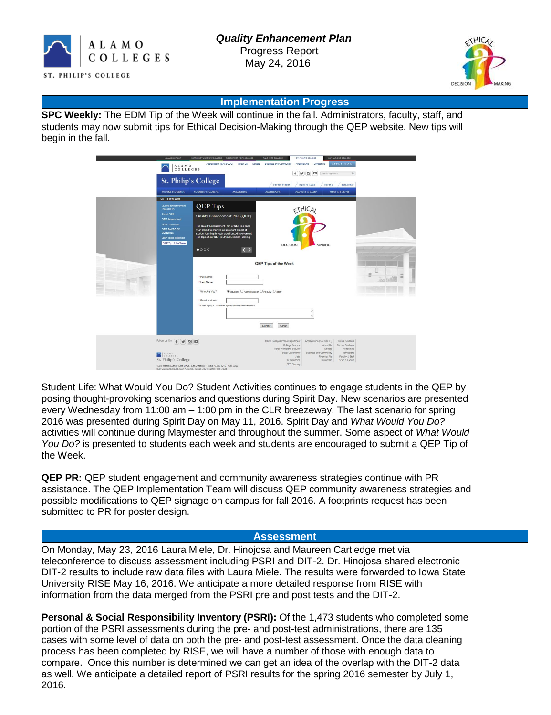



#### **Implementation Progress**

**SPC Weekly:** The EDM Tip of the Week will continue in the fall. Administrators, faculty, staff, and students may now submit tips for Ethical Decision-Making through the QEP website. New tips will begin in the fall.

| ALAMO DISTRICT                                                                                                                                                    | NORTHEAST LAKEVIEW COLLEGE NORTHINEST VISTA COLLEGE                                                   |                                              | PALO ALTO COLLEGE                                                                                                  | <b>ST. PHILIP'S COLLEGE</b>             | <b>BAN ANTONIO COLLEGE</b>    |                  |
|-------------------------------------------------------------------------------------------------------------------------------------------------------------------|-------------------------------------------------------------------------------------------------------|----------------------------------------------|--------------------------------------------------------------------------------------------------------------------|-----------------------------------------|-------------------------------|------------------|
| $\begin{array}{ll} \texttt{ALA} \texttt{M} & \texttt{O} \\ \texttt{C} & \texttt{O} \texttt{L} \texttt{L} \texttt{E} \texttt{G} \texttt{E} \texttt{S} \end{array}$ | Accreditation (SACSCOC)                                                                               | Donate<br><b>Business and Community</b><br>f | <b>APPLY NOW!</b><br>Financial Aid<br>Contact Us<br>同<br>$\bullet$<br>$\mathcal{F}$<br>$\alpha$<br>Search Keywords |                                         |                               |                  |
|                                                                                                                                                                   | <b>St. Philip's College</b>                                                                           |                                              | Career Finder                                                                                                      | library<br>login to ACES                | quicklinks                    |                  |
| FUTURE STUDENTS                                                                                                                                                   | <b>CURRENT STUDENTS</b>                                                                               | <b>ACADEMICS</b>                             | <b>ADMISSIONS</b>                                                                                                  | FACULTY & STAFF                         | <b>NEWS &amp; EVENTS</b>      |                  |
| QEP Tip of the Week                                                                                                                                               |                                                                                                       |                                              |                                                                                                                    |                                         |                               |                  |
| Quality Enhancement<br>Plan (QEP)                                                                                                                                 | <b>QEP</b> Tips                                                                                       |                                              |                                                                                                                    | ETHICAL                                 |                               |                  |
| About QEP                                                                                                                                                         | Quality Enhancement Plan (QEP)                                                                        |                                              |                                                                                                                    |                                         |                               |                  |
| <b>QEP Assessment</b><br><b>QEP Committee</b>                                                                                                                     |                                                                                                       |                                              |                                                                                                                    |                                         |                               |                  |
| QEP SACSCOC<br>Guidelines                                                                                                                                         | The Quality Enhancement Plan or QEP is a multi-<br>year project to improve an important aspect of     |                                              |                                                                                                                    |                                         |                               |                  |
| QEP Topic Selection                                                                                                                                               | student learning through broad-based involvement.<br>The topic of our QEP is Ethical Decision-Making. |                                              |                                                                                                                    |                                         |                               |                  |
| QEP Tip of the Week                                                                                                                                               |                                                                                                       |                                              | <b>DECISION</b>                                                                                                    | MAKING                                  |                               |                  |
|                                                                                                                                                                   | 0000                                                                                                  | $\langle \rangle$                            |                                                                                                                    |                                         |                               |                  |
|                                                                                                                                                                   |                                                                                                       |                                              |                                                                                                                    |                                         |                               |                  |
|                                                                                                                                                                   |                                                                                                       |                                              | <b>QEP Tips of the Week</b>                                                                                        |                                         |                               |                  |
|                                                                                                                                                                   | - Full Name:                                                                                          |                                              |                                                                                                                    |                                         |                               | m<br>m<br>m<br>ж |
|                                                                                                                                                                   | * Last Name:                                                                                          |                                              |                                                                                                                    |                                         |                               |                  |
|                                                                                                                                                                   | * Who Are You?                                                                                        | Student O Administrator O Faculty O Staff    |                                                                                                                    |                                         |                               |                  |
|                                                                                                                                                                   |                                                                                                       |                                              |                                                                                                                    |                                         |                               |                  |
|                                                                                                                                                                   | * Email Address:<br>* GEP Tip (i.e., "Actions speak louder than words"):                              |                                              |                                                                                                                    |                                         |                               |                  |
| ۸                                                                                                                                                                 |                                                                                                       |                                              |                                                                                                                    |                                         |                               |                  |
|                                                                                                                                                                   |                                                                                                       |                                              |                                                                                                                    |                                         |                               |                  |
|                                                                                                                                                                   |                                                                                                       |                                              | Submit<br>Clear                                                                                                    |                                         |                               |                  |
|                                                                                                                                                                   |                                                                                                       |                                              |                                                                                                                    |                                         |                               |                  |
| Follow Us On<br>$\sqrt{f}$<br><b>V O</b>                                                                                                                          |                                                                                                       |                                              | Alamo Colleges Police Department                                                                                   | Accreditation (SACSCOC)                 | Future Students               |                  |
|                                                                                                                                                                   |                                                                                                       |                                              | College Resume<br>Texas Homeland Security                                                                          | About Us<br>Donate                      | Current Students<br>Academics |                  |
| COLLEGES                                                                                                                                                          |                                                                                                       |                                              | Equal Opportunity<br>Jobs                                                                                          | Business and Community<br>Financial Aid | Admissions<br>Faculty & Staff |                  |
| St. Philip's College                                                                                                                                              | 1801 Martin Luther King Drive, San Antonio, Texas 78203 (210) 486-2000                                |                                              | SPC Mission<br>SPC Sitemap                                                                                         | Contact Us                              | News & Events                 |                  |
|                                                                                                                                                                   | 800 Quintana Road, San Antonio, Texas 78211 (210) 486-7000                                            |                                              |                                                                                                                    |                                         |                               |                  |

Student Life: What Would You Do? Student Activities continues to engage students in the QEP by posing thought-provoking scenarios and questions during Spirit Day. New scenarios are presented every Wednesday from 11:00 am – 1:00 pm in the CLR breezeway. The last scenario for spring 2016 was presented during Spirit Day on May 11, 2016. Spirit Day and *What Would You Do?* activities will continue during Maymester and throughout the summer. Some aspect of *What Would You Do?* is presented to students each week and students are encouraged to submit a QEP Tip of the Week.

**QEP PR:** QEP student engagement and community awareness strategies continue with PR assistance. The QEP Implementation Team will discuss QEP community awareness strategies and possible modifications to QEP signage on campus for fall 2016. A footprints request has been submitted to PR for poster design.

### **Assessment**

On Monday, May 23, 2016 Laura Miele, Dr. Hinojosa and Maureen Cartledge met via teleconference to discuss assessment including PSRI and DIT-2. Dr. Hinojosa shared electronic DIT-2 results to include raw data files with Laura Miele. The results were forwarded to Iowa State University RISE May 16, 2016. We anticipate a more detailed response from RISE with information from the data merged from the PSRI pre and post tests and the DIT-2.

**Personal & Social Responsibility Inventory (PSRI):** Of the 1,473 students who completed some portion of the PSRI assessments during the pre- and post-test administrations, there are 135 cases with some level of data on both the pre- and post-test assessment. Once the data cleaning process has been completed by RISE, we will have a number of those with enough data to compare. Once this number is determined we can get an idea of the overlap with the DIT-2 data as well. We anticipate a detailed report of PSRI results for the spring 2016 semester by July 1, 2016.